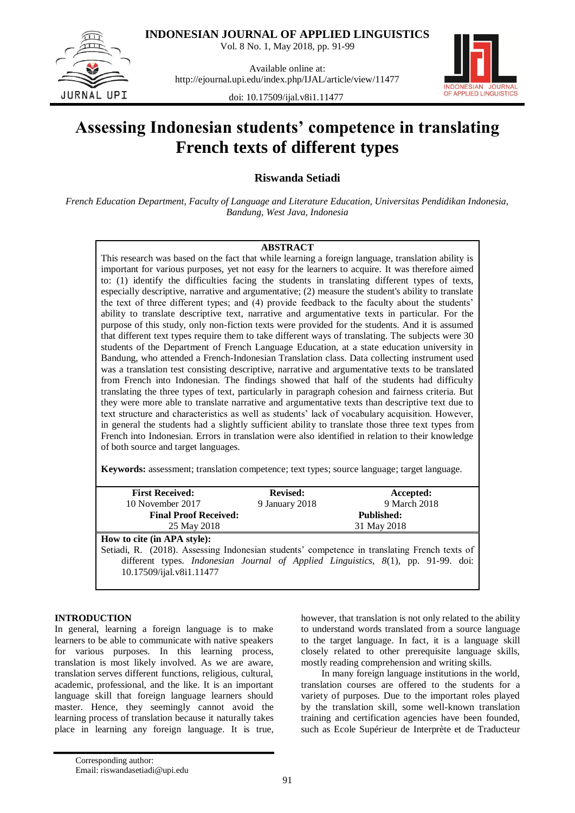

Vol. 8 No. 1, May 2018, pp. 91-99



Available online at: http://ejournal.upi.edu/index.php/IJAL/article/view/11477



doi: 10.17509/ijal.v8i1.11477

# **Assessing Indonesian students' competence in translating French texts of different types**

**Riswanda Setiadi**

*French Education Department, Faculty of Language and Literature Education, Universitas Pendidikan Indonesia, Bandung, West Java, Indonesia*

## **ABSTRACT**

This research was based on the fact that while learning a foreign language, translation ability is important for various purposes, yet not easy for the learners to acquire. It was therefore aimed to: (1) identify the difficulties facing the students in translating different types of texts, especially descriptive, narrative and argumentative; (2) measure the student's ability to translate the text of three different types; and (4) provide feedback to the faculty about the students" ability to translate descriptive text, narrative and argumentative texts in particular. For the purpose of this study, only non-fiction texts were provided for the students. And it is assumed that different text types require them to take different ways of translating. The subjects were 30 students of the Department of French Language Education, at a state education university in Bandung, who attended a French-Indonesian Translation class. Data collecting instrument used was a translation test consisting descriptive, narrative and argumentative texts to be translated from French into Indonesian. The findings showed that half of the students had difficulty translating the three types of text, particularly in paragraph cohesion and fairness criteria. But they were more able to translate narrative and argumentative texts than descriptive text due to text structure and characteristics as well as students" lack of vocabulary acquisition. However, in general the students had a slightly sufficient ability to translate those three text types from French into Indonesian. Errors in translation were also identified in relation to their knowledge of both source and target languages.

**Keywords:** assessment; translation competence; text types; source language; target language.

| <b>First Received:</b>       | <b>Revised:</b> | Accepted:         |  |
|------------------------------|-----------------|-------------------|--|
| 10 November 2017             | 9 January 2018  | 9 March 2018      |  |
| <b>Final Proof Received:</b> |                 | <b>Published:</b> |  |
| 25 May 2018                  |                 | 31 May 2018       |  |
| How to cite (in APA style):  |                 |                   |  |

Setiadi, R. (2018). Assessing Indonesian students" competence in translating French texts of different types. *Indonesian Journal of Applied Linguistics, 8*(1), pp. 91-99. doi: [10.17509/ijal.v8i1.11477](http://dx.doi.org/10.17509/ijal.v8i1.11477)

## **INTRODUCTION**

In general, learning a foreign language is to make learners to be able to communicate with native speakers for various purposes. In this learning process, translation is most likely involved. As we are aware, translation serves different functions, religious, cultural, academic, professional, and the like. It is an important language skill that foreign language learners should master. Hence, they seemingly cannot avoid the learning process of translation because it naturally takes place in learning any foreign language. It is true, however, that translation is not only related to the ability to understand words translated from a source language to the target language. In fact, it is a language skill closely related to other prerequisite language skills, mostly reading comprehension and writing skills.

In many foreign language institutions in the world, translation courses are offered to the students for a variety of purposes. Due to the important roles played by the translation skill, some well-known translation training and certification agencies have been founded, such as Ecole Supérieur de Interprète et de Traducteur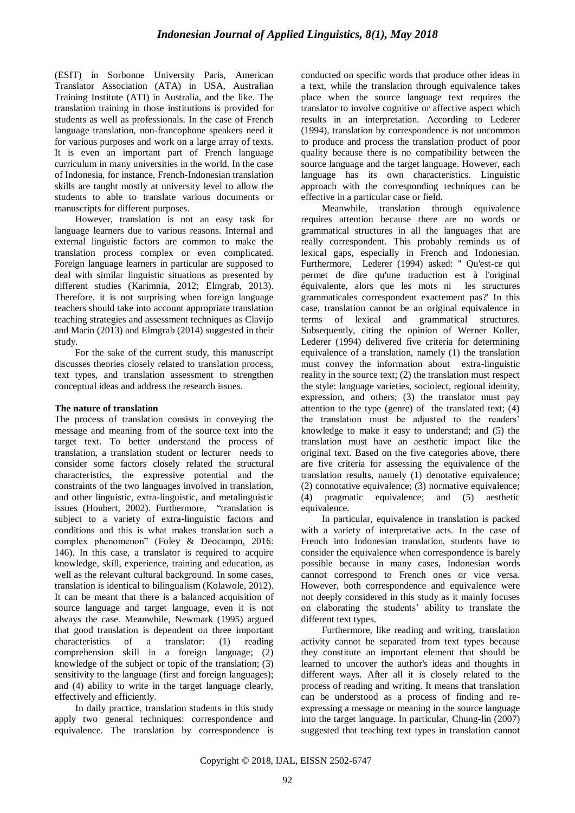(ESIT) in Sorbonne University Paris, American Translator Association (ATA) in USA, Australian Training Institute (ATI) in Australia, and the like. The translation training in those institutions is provided for students as well as professionals. In the case of French language translation, non-francophone speakers need it for various purposes and work on a large array of texts. It is even an important part of French language curriculum in many universities in the world. In the case of Indonesia, for instance, French-Indonesian translation skills are taught mostly at university level to allow the students to able to translate various documents or manuscripts for different purposes.

However, translation is not an easy task for language learners due to various reasons. Internal and external linguistic factors are common to make the translation process complex or even complicated. Foreign language learners in particular are supposed to deal with similar linguistic situations as presented by different studies (Karimnia, 2012; Elmgrab, 2013). Therefore, it is not surprising when foreign language teachers should take into account appropriate translation teaching strategies and assessment techniques as Clavijo and Marin (2013) and Elmgrab (2014) suggested in their study.

For the sake of the current study, this manuscript discusses theories closely related to translation process, text types, and translation assessment to strengthen conceptual ideas and address the research issues.

### **The nature of translation**

The process of translation consists in conveying the message and meaning from of the source text into the target text. To better understand the process of translation, a translation student or lecturer needs to consider some factors closely related the structural characteristics, the expressive potential and the constraints of the two languages involved in translation, and other linguistic, extra-linguistic, and metalinguistic issues (Houbert, 2002). Furthermore, "translation is subject to a variety of extra-linguistic factors and conditions and this is what makes translation such a complex phenomenon" (Foley & Deocampo, 2016: 146). In this case, a translator is required to acquire knowledge, skill, experience, training and education, as well as the relevant cultural background. In some cases, translation is identical to bilingualism (Kolawole, 2012). It can be meant that there is a balanced acquisition of source language and target language, even it is not always the case. Meanwhile, Newmark (1995) argued that good translation is dependent on three important characteristics of a translator: (1) reading comprehension skill in a foreign language; (2) knowledge of the subject or topic of the translation; (3) sensitivity to the language (first and foreign languages); and (4) ability to write in the target language clearly, effectively and efficiently.

In daily practice, translation students in this study apply two general techniques: correspondence and equivalence. The translation by correspondence is conducted on specific words that produce other ideas in a text, while the translation through equivalence takes place when the source language text requires the translator to involve cognitive or affective aspect which results in an interpretation. According to Lederer (1994), translation by correspondence is not uncommon to produce and process the translation product of poor quality because there is no compatibility between the source language and the target language. However, each language has its own characteristics. Linguistic approach with the corresponding techniques can be effective in a particular case or field.

Meanwhile, translation through equivalence requires attention because there are no words or grammatical structures in all the languages that are really correspondent. This probably reminds us of lexical gaps, especially in French and Indonesian. Furthermore, Lederer (1994) asked: '' Qu'est-ce qui permet de dire qu'une traduction est à l'original équivalente, alors que les mots ni les structures grammaticales correspondent exactement pas?' In this case, translation cannot be an original equivalence in terms of lexical and grammatical structures. Subsequently, citing the opinion of Werner Koller, Lederer (1994) delivered five criteria for determining equivalence of a translation, namely (1) the translation must convey the information about extra-linguistic reality in the source text; (2) the translation must respect the style: language varieties, sociolect, regional identity, expression, and others; (3) the translator must pay attention to the type (genre) of the translated text; (4) the translation must be adjusted to the readers" knowledge to make it easy to understand; and (5) the translation must have an aesthetic impact like the original text. Based on the five categories above, there are five criteria for assessing the equivalence of the translation results, namely (1) denotative equivalence; (2) connotative equivalence; (3) normative equivalence; (4) pragmatic equivalence; and (5) aesthetic equivalence.

In particular, equivalence in translation is packed with a variety of interpretative acts. In the case of French into Indonesian translation, students have to consider the equivalence when correspondence is barely possible because in many cases, Indonesian words cannot correspond to French ones or vice versa. However, both correspondence and equivalence were not deeply considered in this study as it mainly focuses on elaborating the students" ability to translate the different text types.

Furthermore, like reading and writing, translation activity cannot be separated from text types because they constitute an important element that should be learned to uncover the author's ideas and thoughts in different ways. After all it is closely related to the process of reading and writing. It means that translation can be understood as a process of finding and reexpressing a message or meaning in the source language into the target language. In particular, Chung-lin (2007) suggested that teaching text types in translation cannot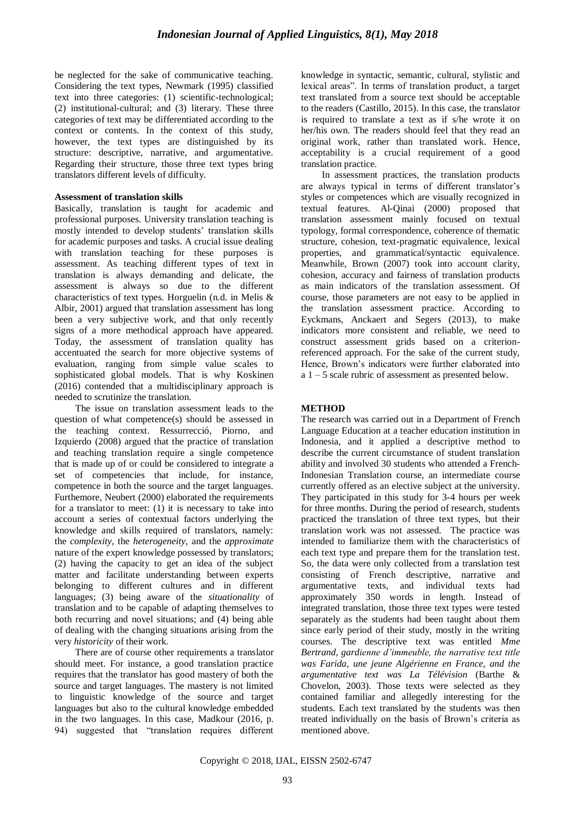be neglected for the sake of communicative teaching. Considering the text types, Newmark (1995) classified text into three categories: (1) scientific-technological; (2) institutional-cultural; and (3) literary. These three categories of text may be differentiated according to the context or contents. In the context of this study, however, the text types are distinguished by its structure: descriptive, narrative, and argumentative. Regarding their structure, those three text types bring translators different levels of difficulty.

#### **Assessment of translation skills**

Basically, translation is taught for academic and professional purposes. University translation teaching is mostly intended to develop students' translation skills for academic purposes and tasks. A crucial issue dealing with translation teaching for these purposes is assessment. As teaching different types of text in translation is always demanding and delicate, the assessment is always so due to the different characteristics of text types. Horguelin (n.d. in Melis & Albir, 2001) argued that translation assessment has long been a very subjective work, and that only recently signs of a more methodical approach have appeared. Today, the assessment of translation quality has accentuated the search for more objective systems of evaluation, ranging from simple value scales to sophisticated global models. That is why Koskinen (2016) contended that a multidisciplinary approach is needed to scrutinize the translation.

The issue on translation assessment leads to the question of what competence(s) should be assessed in the teaching context. Ressurrecció, Piorno, and Izquierdo (2008) argued that the practice of translation and teaching translation require a single competence that is made up of or could be considered to integrate a set of competencies that include, for instance, competence in both the source and the target languages. Furthemore, Neubert (2000) elaborated the requirements for a translator to meet: (1) it is necessary to take into account a series of contextual factors underlying the knowledge and skills required of translators, namely: the *complexity*, the *heterogeneity*, and the *approximate* nature of the expert knowledge possessed by translators; (2) having the capacity to get an idea of the subject matter and facilitate understanding between experts belonging to different cultures and in different languages; (3) being aware of the *situationality* of translation and to be capable of adapting themselves to both recurring and novel situations; and (4) being able of dealing with the changing situations arising from the very *historicity* of their work.

There are of course other requirements a translator should meet. For instance, a good translation practice requires that the translator has good mastery of both the source and target languages. The mastery is not limited to linguistic knowledge of the source and target languages but also to the cultural knowledge embedded in the two languages. In this case, Madkour (2016, p. 94) suggested that "translation requires different knowledge in syntactic, semantic, cultural, stylistic and lexical areas". In terms of translation product, a target text translated from a source text should be acceptable to the readers (Castillo, 2015). In this case, the translator is required to translate a text as if s/he wrote it on her/his own. The readers should feel that they read an original work, rather than translated work. Hence, acceptability is a crucial requirement of a good translation practice.

In assessment practices, the translation products are always typical in terms of different translator's styles or competences which are visually recognized in textual features. Al-Qinai (2000) proposed that translation assessment mainly focused on textual typology, formal correspondence, coherence of thematic structure, cohesion, text-pragmatic equivalence, lexical properties, and grammatical/syntactic equivalence. Meanwhile, Brown (2007) took into account clarity, cohesion, accuracy and fairness of translation products as main indicators of the translation assessment. Of course, those parameters are not easy to be applied in the translation assessment practice. According to Eyckmans, Anckaert and Segers (2013), to make indicators more consistent and reliable, we need to construct assessment grids based on a criterionreferenced approach. For the sake of the current study, Hence, Brown's indicators were further elaborated into a 1 – 5 scale rubric of assessment as presented below.

## **METHOD**

The research was carried out in a Department of French Language Education at a teacher education institution in Indonesia, and it applied a descriptive method to describe the current circumstance of student translation ability and involved 30 students who attended a French-Indonesian Translation course, an intermediate course currently offered as an elective subject at the university. They participated in this study for 3-4 hours per week for three months. During the period of research, students practiced the translation of three text types, but their translation work was not assessed. The practice was intended to familiarize them with the characteristics of each text type and prepare them for the translation test. So, the data were only collected from a translation test consisting of French descriptive, narrative and argumentative texts, and individual texts had approximately 350 words in length. Instead of integrated translation, those three text types were tested separately as the students had been taught about them since early period of their study, mostly in the writing courses. The descriptive text was entitled *Mme Bertrand, gardienne d'immeuble, the narrative text title was Farida, une jeune Algérienne en France, and the argumentative text was La Télévision* (Barthe & Chovelon, 2003)*.* Those texts were selected as they contained familiar and allegedly interesting for the students. Each text translated by the students was then treated individually on the basis of Brown"s criteria as mentioned above.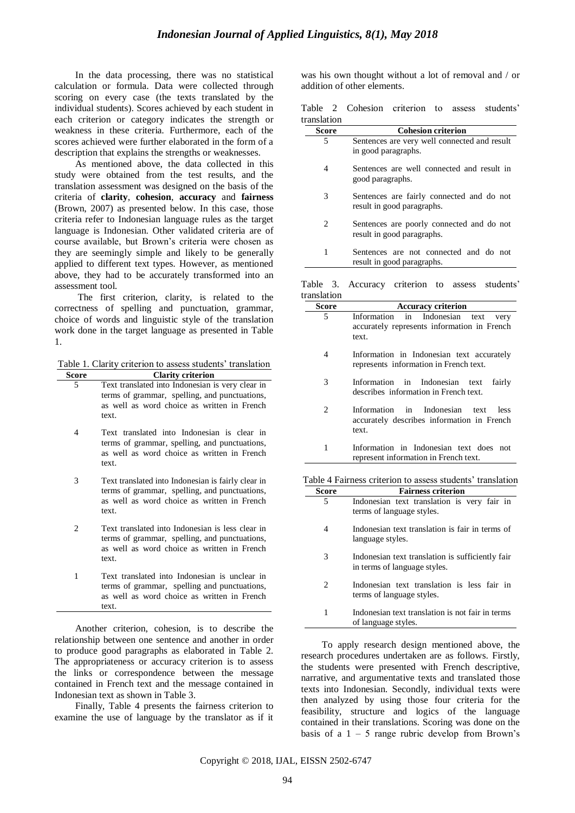In the data processing, there was no statistical calculation or formula. Data were collected through scoring on every case (the texts translated by the individual students). Scores achieved by each student in each criterion or category indicates the strength or weakness in these criteria. Furthermore, each of the scores achieved were further elaborated in the form of a description that explains the strengths or weaknesses.

As mentioned above, the data collected in this study were obtained from the test results, and the translation assessment was designed on the basis of the criteria of **clarity**, **cohesion**, **accuracy** and **fairness** (Brown, 2007) as presented below. In this case, those criteria refer to Indonesian language rules as the target language is Indonesian. Other validated criteria are of course available, but Brown"s criteria were chosen as they are seemingly simple and likely to be generally applied to different text types. However, as mentioned above, they had to be accurately transformed into an assessment tool.

The first criterion, clarity, is related to the correctness of spelling and punctuation, grammar, choice of words and linguistic style of the translation work done in the target language as presented in Table 1.

Table 1. Clarity criterion to assess students' translation

| Score | <b>Clarity criterion</b>                         |  |  |  |  |  |  |  |  |
|-------|--------------------------------------------------|--|--|--|--|--|--|--|--|
| 5.    | Text translated into Indonesian is very clear in |  |  |  |  |  |  |  |  |
|       | terms of grammar, spelling, and punctuations,    |  |  |  |  |  |  |  |  |
|       | as well as word choice as written in French      |  |  |  |  |  |  |  |  |
|       | text.                                            |  |  |  |  |  |  |  |  |
|       |                                                  |  |  |  |  |  |  |  |  |

- 4 Text translated into Indonesian is clear in terms of grammar, spelling, and punctuations, as well as word choice as written in French text.
- 3 Text translated into Indonesian is fairly clear in terms of grammar, spelling, and punctuations, as well as word choice as written in French text.
- 2 Text translated into Indonesian is less clear in terms of grammar, spelling, and punctuations, as well as word choice as written in French text.
- 1 Text translated into Indonesian is unclear in terms of grammar, spelling and punctuations, as well as word choice as written in French text.

Another criterion, cohesion, is to describe the relationship between one sentence and another in order to produce good paragraphs as elaborated in Table 2. The appropriateness or accuracy criterion is to assess the links or correspondence between the message contained in French text and the message contained in Indonesian text as shown in Table 3.

Finally, Table 4 presents the fairness criterion to examine the use of language by the translator as if it was his own thought without a lot of removal and / or addition of other elements.

Table 2 Cohesion criterion to assess students' translation

| Score                       | <b>Cohesion criterion</b>                                               |
|-----------------------------|-------------------------------------------------------------------------|
| 5                           | Sentences are very well connected and result<br>in good paragraphs.     |
| 4                           | Sentences are well connected and result in<br>good paragraphs.          |
| 3                           | Sentences are fairly connected and do not<br>result in good paragraphs. |
| $\mathcal{D}_{\mathcal{L}}$ | Sentences are poorly connected and do not<br>result in good paragraphs. |
| 1                           | Sentences are not connected and do not<br>result in good paragraphs.    |
|                             |                                                                         |

Table 3. Accuracy criterion to assess students' translation

| <b>Score</b> | <b>Accuracy criterion</b>                                                                            |
|--------------|------------------------------------------------------------------------------------------------------|
| 5            | in Indonesian<br>Information<br>text<br>very<br>accurately represents information in French<br>text. |
| 4            | Information in Indonesian text accurately<br>represents information in French text.                  |
| 3            | Information in Indonesian text<br>fairly<br>describes information in French text.                    |
| 2            | Information in Indonesian text<br>less<br>accurately describes information in French<br>text.        |
| 1            | Information in Indonesian text does<br>not.<br>represent information in French text.                 |

Table 4 Fairness criterion to assess students' translation

| Score | <b>Fairness criterion</b>                                                        |
|-------|----------------------------------------------------------------------------------|
| 5     | Indonesian text translation is very fair in<br>terms of language styles.         |
| 4     | Indonesian text translation is fair in terms of<br>language styles.              |
| 3     | Indonesian text translation is sufficiently fair<br>in terms of language styles. |
| 2     | Indonesian text translation is less fair in<br>terms of language styles.         |
| 1     | Indonesian text translation is not fair in terms<br>of language styles.          |

To apply research design mentioned above, the research procedures undertaken are as follows. Firstly, the students were presented with French descriptive, narrative, and argumentative texts and translated those texts into Indonesian. Secondly, individual texts were then analyzed by using those four criteria for the feasibility, structure and logics of the language contained in their translations. Scoring was done on the basis of a  $1 - 5$  range rubric develop from Brown's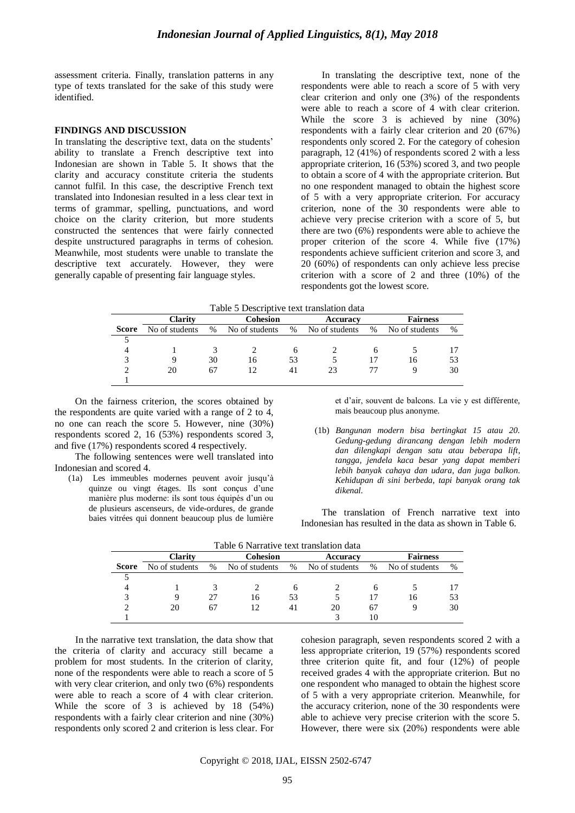assessment criteria. Finally, translation patterns in any type of texts translated for the sake of this study were identified.

#### **FINDINGS AND DISCUSSION**

In translating the descriptive text, data on the students' ability to translate a French descriptive text into Indonesian are shown in Table 5. It shows that the clarity and accuracy constitute criteria the students cannot fulfil. In this case, the descriptive French text translated into Indonesian resulted in a less clear text in terms of grammar, spelling, punctuations, and word choice on the clarity criterion, but more students constructed the sentences that were fairly connected despite unstructured paragraphs in terms of cohesion. Meanwhile, most students were unable to translate the descriptive text accurately. However, they were generally capable of presenting fair language styles.

In translating the descriptive text, none of the respondents were able to reach a score of 5 with very clear criterion and only one (3%) of the respondents were able to reach a score of 4 with clear criterion. While the score 3 is achieved by nine (30%) respondents with a fairly clear criterion and 20 (67%) respondents only scored 2. For the category of cohesion paragraph, 12 (41%) of respondents scored 2 with a less appropriate criterion, 16 (53%) scored 3, and two people to obtain a score of 4 with the appropriate criterion. But no one respondent managed to obtain the highest score of 5 with a very appropriate criterion. For accuracy criterion, none of the 30 respondents were able to achieve very precise criterion with a score of 5, but there are two (6%) respondents were able to achieve the proper criterion of the score 4. While five (17%) respondents achieve sufficient criterion and score 3, and 20 (60%) of respondents can only achieve less precise criterion with a score of 2 and three (10%) of the respondents got the lowest score.

Table 5 Descriptive text translation data

|       | <b>Clarity</b> |      | Cohesion       |      | Accuracy       |      | <b>Fairness</b> |    |
|-------|----------------|------|----------------|------|----------------|------|-----------------|----|
| Score | No of students | $\%$ | No of students | $\%$ | No of students | $\%$ | No of students  | %  |
|       |                |      |                |      |                |      |                 |    |
| Δ     |                |      |                | o    |                | n    |                 |    |
|       |                | 30   | 16             | 53   |                |      | 16              | 53 |
|       | 20             | 67   | 12             | 41   | 23             |      |                 | 30 |
|       |                |      |                |      |                |      |                 |    |

On the fairness criterion, the scores obtained by the respondents are quite varied with a range of 2 to 4, no one can reach the score 5. However, nine (30%) respondents scored 2, 16 (53%) respondents scored 3, and five (17%) respondents scored 4 respectively.

The following sentences were well translated into Indonesian and scored 4.

(1a) Les immeubles modernes peuvent avoir jusqu"à quinze ou vingt étages. Ils sont conçus d"une manière plus moderne: ils sont tous équipés d"un ou de plusieurs ascenseurs, de vide-ordures, de grande baies vitrées qui donnent beaucoup plus de lumière

et d"air, souvent de balcons. La vie y est différente, mais beaucoup plus anonyme.

(1b) *Bangunan modern bisa bertingkat 15 atau 20. Gedung-gedung dirancang dengan lebih modern dan dilengkapi dengan satu atau beberapa lift, tangga, jendela kaca besar yang dapat memberi lebih banyak cahaya dan udara, dan juga balkon. Kehidupan di sini berbeda, tapi banyak orang tak dikenal.*

The translation of French narrative text into Indonesian has resulted in the data as shown in Table 6.

| Table 6 Narrative text translation data |                                               |    |                |               |                |    |                 |      |
|-----------------------------------------|-----------------------------------------------|----|----------------|---------------|----------------|----|-----------------|------|
|                                         | <b>Clarity</b><br><b>Cohesion</b><br>Accuracy |    |                |               |                |    | <b>Fairness</b> |      |
| Score                                   | No of students                                | %  | No of students | $\frac{0}{0}$ | No of students | %  | No of students  | $\%$ |
|                                         |                                               |    |                |               |                |    |                 |      |
|                                         |                                               |    |                |               |                | h  |                 |      |
|                                         | Q                                             | 27 | 16             | 53            |                |    | 16              | 53   |
|                                         | 20                                            | 67 | 12             | 41            | 20             | 67 |                 | 30   |
|                                         |                                               |    |                |               |                | 10 |                 |      |

In the narrative text translation, the data show that the criteria of clarity and accuracy still became a problem for most students. In the criterion of clarity, none of the respondents were able to reach a score of 5 with very clear criterion, and only two (6%) respondents were able to reach a score of 4 with clear criterion. While the score of 3 is achieved by 18 (54%) respondents with a fairly clear criterion and nine (30%) respondents only scored 2 and criterion is less clear. For cohesion paragraph, seven respondents scored 2 with a less appropriate criterion, 19 (57%) respondents scored three criterion quite fit, and four (12%) of people received grades 4 with the appropriate criterion. But no one respondent who managed to obtain the highest score of 5 with a very appropriate criterion. Meanwhile, for the accuracy criterion, none of the 30 respondents were able to achieve very precise criterion with the score 5. However, there were six (20%) respondents were able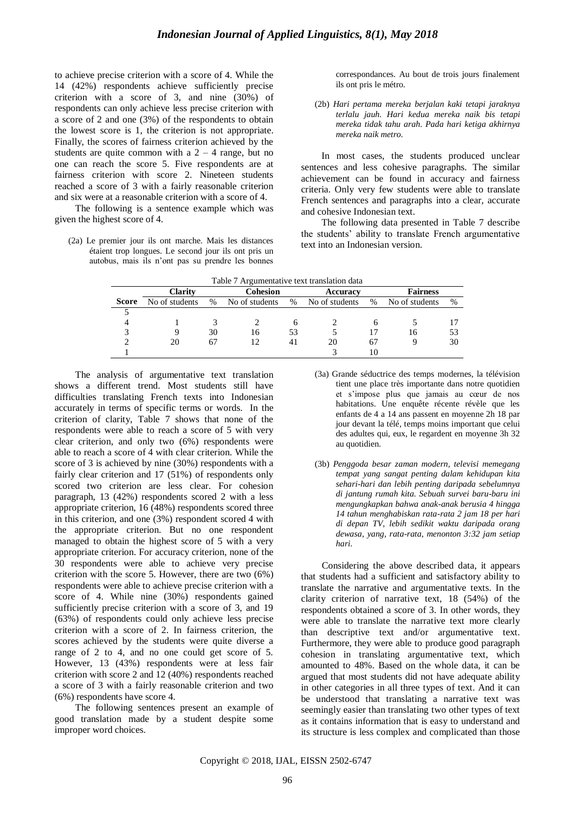to achieve precise criterion with a score of 4. While the 14 (42%) respondents achieve sufficiently precise criterion with a score of 3, and nine (30%) of respondents can only achieve less precise criterion with a score of 2 and one (3%) of the respondents to obtain the lowest score is 1, the criterion is not appropriate. Finally, the scores of fairness criterion achieved by the students are quite common with a  $2 - 4$  range, but no one can reach the score 5. Five respondents are at fairness criterion with score 2. Nineteen students reached a score of 3 with a fairly reasonable criterion and six were at a reasonable criterion with a score of 4.

The following is a sentence example which was given the highest score of 4.

(2a) Le premier jour ils ont marche. Mais les distances étaient trop longues. Le second jour ils ont pris un autobus, mais ils n"ont pas su prendre les bonnes

correspondances. Au bout de trois jours finalement ils ont pris le métro.

(2b) *Hari pertama mereka berjalan kaki tetapi jaraknya terlalu jauh. Hari kedua mereka naik bis tetapi mereka tidak tahu arah. Pada hari ketiga akhirnya mereka naik metro.*

In most cases, the students produced unclear sentences and less cohesive paragraphs. The similar achievement can be found in accuracy and fairness criteria. Only very few students were able to translate French sentences and paragraphs into a clear, accurate and cohesive Indonesian text.

The following data presented in Table 7 describe the students" ability to translate French argumentative text into an Indonesian version.

| Table 7 Argumentative text translation data |                |      |                      |    |                |      |                 |               |
|---------------------------------------------|----------------|------|----------------------|----|----------------|------|-----------------|---------------|
|                                             | <b>Clarity</b> |      | Cohesion<br>Accuracy |    |                |      | <b>Fairness</b> |               |
| <b>Score</b>                                | No of students | $\%$ | No of students       | %  | No of students | $\%$ | No of students  | $\frac{0}{0}$ |
|                                             |                |      |                      |    |                |      |                 |               |
|                                             |                |      |                      |    |                |      |                 |               |
| っ                                           |                | 30   | 16                   | 53 |                |      | 16              | 53            |
|                                             | 20             |      | 12                   | 41 | 20             |      |                 | 30            |
|                                             |                |      |                      |    |                |      |                 |               |

The analysis of argumentative text translation shows a different trend. Most students still have difficulties translating French texts into Indonesian accurately in terms of specific terms or words. In the criterion of clarity, Table 7 shows that none of the respondents were able to reach a score of 5 with very clear criterion, and only two (6%) respondents were able to reach a score of 4 with clear criterion. While the score of 3 is achieved by nine (30%) respondents with a fairly clear criterion and 17 (51%) of respondents only scored two criterion are less clear. For cohesion paragraph, 13 (42%) respondents scored 2 with a less appropriate criterion, 16 (48%) respondents scored three in this criterion, and one (3%) respondent scored 4 with the appropriate criterion. But no one respondent managed to obtain the highest score of 5 with a very appropriate criterion. For accuracy criterion, none of the 30 respondents were able to achieve very precise criterion with the score 5. However, there are two (6%) respondents were able to achieve precise criterion with a score of 4. While nine (30%) respondents gained sufficiently precise criterion with a score of 3, and 19 (63%) of respondents could only achieve less precise criterion with a score of 2. In fairness criterion, the scores achieved by the students were quite diverse a range of 2 to 4, and no one could get score of 5. However, 13 (43%) respondents were at less fair criterion with score 2 and 12 (40%) respondents reached a score of 3 with a fairly reasonable criterion and two (6%) respondents have score 4.

The following sentences present an example of good translation made by a student despite some improper word choices.

- (3a) Grande séductrice des temps modernes, la télévision tient une place très importante dans notre quotidien et s"impose plus que jamais au cœur de nos habitations. Une enquête récente révèle que les enfants de 4 a 14 ans passent en moyenne 2h 18 par jour devant la télé, temps moins important que celui des adultes qui, eux, le regardent en moyenne 3h 32 au quotidien.
- (3b) *Penggoda besar zaman modern, televisi memegang tempat yang sangat penting dalam kehidupan kita sehari-hari dan lebih penting daripada sebelumnya di jantung rumah kita. Sebuah survei baru-baru ini mengungkapkan bahwa anak-anak berusia 4 hingga 14 tahun menghabiskan rata-rata 2 jam 18 per hari di depan TV, lebih sedikit waktu daripada orang dewasa, yang, rata-rata, menonton 3:32 jam setiap hari.*

Considering the above described data, it appears that students had a sufficient and satisfactory ability to translate the narrative and argumentative texts. In the clarity criterion of narrative text, 18 (54%) of the respondents obtained a score of 3. In other words, they were able to translate the narrative text more clearly than descriptive text and/or argumentative text. Furthermore, they were able to produce good paragraph cohesion in translating argumentative text, which amounted to 48%. Based on the whole data, it can be argued that most students did not have adequate ability in other categories in all three types of text. And it can be understood that translating a narrative text was seemingly easier than translating two other types of text as it contains information that is easy to understand and its structure is less complex and complicated than those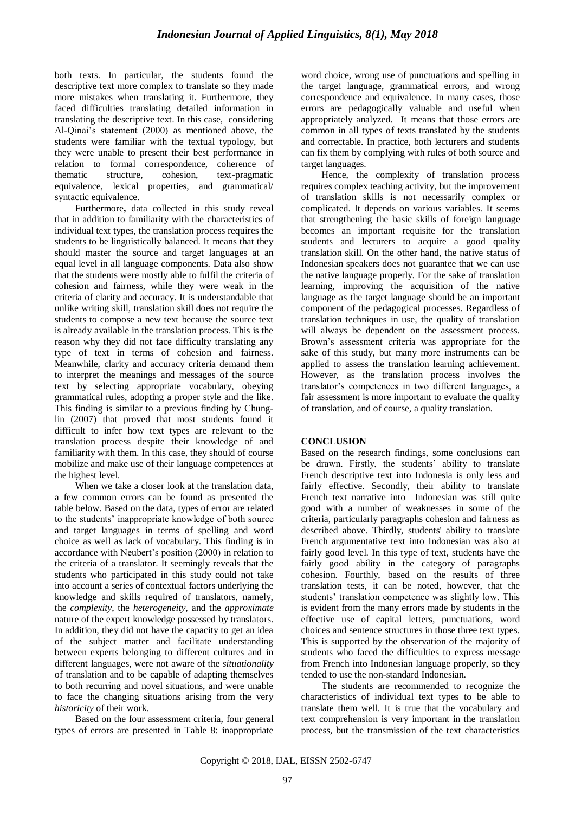both texts. In particular, the students found the descriptive text more complex to translate so they made more mistakes when translating it. Furthermore, they faced difficulties translating detailed information in translating the descriptive text. In this case, considering Al-Qinai's statement (2000) as mentioned above, the students were familiar with the textual typology, but they were unable to present their best performance in relation to formal correspondence, coherence of thematic structure, cohesion, text-pragmatic equivalence, lexical properties, and grammatical/ syntactic equivalence.

Furthermore**,** data collected in this study reveal that in addition to familiarity with the characteristics of individual text types, the translation process requires the students to be linguistically balanced. It means that they should master the source and target languages at an equal level in all language components. Data also show that the students were mostly able to fulfil the criteria of cohesion and fairness, while they were weak in the criteria of clarity and accuracy. It is understandable that unlike writing skill, translation skill does not require the students to compose a new text because the source text is already available in the translation process. This is the reason why they did not face difficulty translating any type of text in terms of cohesion and fairness. Meanwhile, clarity and accuracy criteria demand them to interpret the meanings and messages of the source text by selecting appropriate vocabulary, obeying grammatical rules, adopting a proper style and the like. This finding is similar to a previous finding by Chunglin (2007) that proved that most students found it difficult to infer how text types are relevant to the translation process despite their knowledge of and familiarity with them. In this case, they should of course mobilize and make use of their language competences at the highest level.

When we take a closer look at the translation data, a few common errors can be found as presented the table below. Based on the data, types of error are related to the students" inappropriate knowledge of both source and target languages in terms of spelling and word choice as well as lack of vocabulary. This finding is in accordance with Neubert's position (2000) in relation to the criteria of a translator. It seemingly reveals that the students who participated in this study could not take into account a series of contextual factors underlying the knowledge and skills required of translators, namely, the *complexity*, the *heterogeneity*, and the *approximate* nature of the expert knowledge possessed by translators. In addition, they did not have the capacity to get an idea of the subject matter and facilitate understanding between experts belonging to different cultures and in different languages, were not aware of the *situationality* of translation and to be capable of adapting themselves to both recurring and novel situations, and were unable to face the changing situations arising from the very *historicity* of their work.

Based on the four assessment criteria, four general types of errors are presented in Table 8: inappropriate word choice, wrong use of punctuations and spelling in the target language, grammatical errors, and wrong correspondence and equivalence. In many cases, those errors are pedagogically valuable and useful when appropriately analyzed. It means that those errors are common in all types of texts translated by the students and correctable. In practice, both lecturers and students can fix them by complying with rules of both source and target languages.

Hence, the complexity of translation process requires complex teaching activity, but the improvement of translation skills is not necessarily complex or complicated. It depends on various variables. It seems that strengthening the basic skills of foreign language becomes an important requisite for the translation students and lecturers to acquire a good quality translation skill. On the other hand, the native status of Indonesian speakers does not guarantee that we can use the native language properly. For the sake of translation learning, improving the acquisition of the native language as the target language should be an important component of the pedagogical processes. Regardless of translation techniques in use, the quality of translation will always be dependent on the assessment process. Brown"s assessment criteria was appropriate for the sake of this study, but many more instruments can be applied to assess the translation learning achievement. However, as the translation process involves the translator"s competences in two different languages, a fair assessment is more important to evaluate the quality of translation, and of course, a quality translation.

### **CONCLUSION**

Based on the research findings, some conclusions can be drawn. Firstly, the students' ability to translate French descriptive text into Indonesia is only less and fairly effective. Secondly, their ability to translate French text narrative into Indonesian was still quite good with a number of weaknesses in some of the criteria, particularly paragraphs cohesion and fairness as described above. Thirdly, students' ability to translate French argumentative text into Indonesian was also at fairly good level. In this type of text, students have the fairly good ability in the category of paragraphs cohesion. Fourthly, based on the results of three translation tests, it can be noted, however, that the students" translation competence was slightly low. This is evident from the many errors made by students in the effective use of capital letters, punctuations, word choices and sentence structures in those three text types. This is supported by the observation of the majority of students who faced the difficulties to express message from French into Indonesian language properly, so they tended to use the non-standard Indonesian.

The students are recommended to recognize the characteristics of individual text types to be able to translate them well. It is true that the vocabulary and text comprehension is very important in the translation process, but the transmission of the text characteristics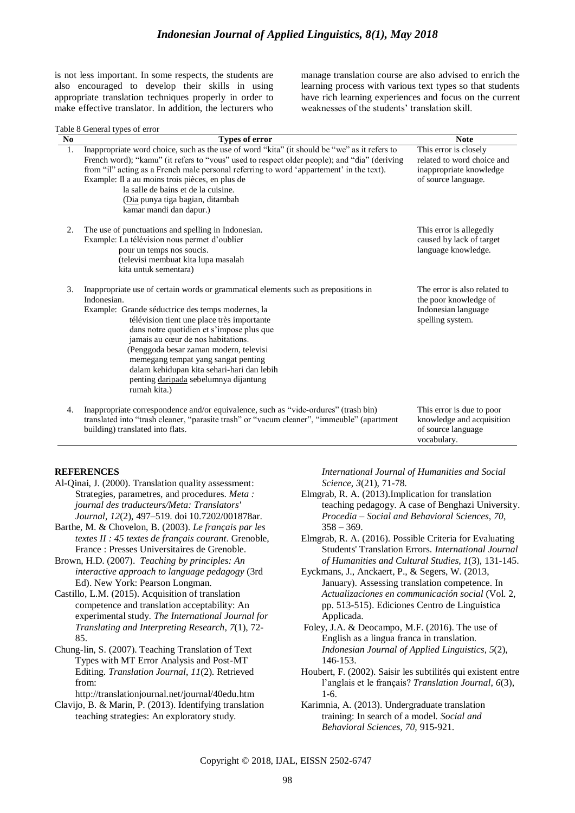is not less important. In some respects, the students are also encouraged to develop their skills in using appropriate translation techniques properly in order to make effective translator. In addition, the lecturers who manage translation course are also advised to enrich the learning process with various text types so that students have rich learning experiences and focus on the current weaknesses of the students' translation skill.

|  | Table 8 General types of error |  |  |
|--|--------------------------------|--|--|
|  |                                |  |  |

| N <sub>0</sub> | raoic ó Ochéiaí types ói chor<br>Types of error                                                                                                                                                                                                                                                                                                                                                                                                                                 | <b>Note</b>                                                                                           |
|----------------|---------------------------------------------------------------------------------------------------------------------------------------------------------------------------------------------------------------------------------------------------------------------------------------------------------------------------------------------------------------------------------------------------------------------------------------------------------------------------------|-------------------------------------------------------------------------------------------------------|
| 1.             | Inappropriate word choice, such as the use of word "kita" (it should be "we" as it refers to<br>French word); "kamu" (it refers to "vous" used to respect older people); and "dia" (deriving<br>from "il" acting as a French male personal referring to word 'appartement' in the text).<br>Example: Il a au moins trois pièces, en plus de<br>la salle de bains et de la cuisine.<br>(Dia punya tiga bagian, ditambah<br>kamar mandi dan dapur.)                               | This error is closely<br>related to word choice and<br>inappropriate knowledge<br>of source language. |
| 2.             | The use of punctuations and spelling in Indonesian.<br>Example: La télévision nous permet d'oublier<br>pour un temps nos soucis.<br>(televisi membuat kita lupa masalah<br>kita untuk sementara)                                                                                                                                                                                                                                                                                | This error is allegedly<br>caused by lack of target<br>language knowledge.                            |
| 3.             | Inappropriate use of certain words or grammatical elements such as prepositions in<br>Indonesian.<br>Example: Grande séductrice des temps modernes, la<br>télévision tient une place très importante<br>dans notre quotidien et s'impose plus que<br>jamais au cœur de nos habitations.<br>(Penggoda besar zaman modern, televisi<br>memegang tempat yang sangat penting<br>dalam kehidupan kita sehari-hari dan lebih<br>penting daripada sebelumnya dijantung<br>rumah kita.) | The error is also related to<br>the poor knowledge of<br>Indonesian language<br>spelling system.      |
| 4.             | Inappropriate correspondence and/or equivalence, such as "vide-ordures" (trash bin)<br>translated into "trash cleaner, "parasite trash" or "vacum cleaner", "immeuble" (apartment<br>building) translated into flats.                                                                                                                                                                                                                                                           | This error is due to poor<br>knowledge and acquisition<br>of source language<br>vocabulary.           |

#### **REFERENCES**

- Al-Qinai, J. (2000). Translation quality assessment: Strategies, parametres, and procedures. *Meta : journal des traducteurs/Meta: Translators' Journal*, *12*(2), 497–519. doi 10.7202/001878ar.
- Barthe, M. & Chovelon, B. (2003). *Le français par les textes II : 45 textes de français courant*. Grenoble, France : Presses Universitaires de Grenoble.
- Brown, H.D. (2007). *Teaching by principles: An interactive approach to language pedagogy* (3rd Ed). New York: Pearson Longman.
- Castillo, L.M. (2015). Acquisition of translation competence and translation acceptability: An experimental study. *The International Journal for Translating and Interpreting Research*, *7*(1), 72- 85.

Chung-lin, S. (2007). Teaching Translation of Text Types with MT Error Analysis and Post-MT Editing. *Translation Journal*, *11*(2). Retrieved from:

<http://translationjournal.net/journal/40edu.htm> Clavijo, B. & Marin, P. (2013). Identifying translation teaching strategies: An exploratory study.

*International Journal of Humanities and Social Science*, *3*(21), 71-78.

- Elmgrab, R. A. (2013).Implication for translation teaching pedagogy. A case of Benghazi University. *Procedia – Social and Behavioral Sciences, 70*,  $358 - 369.$
- Elmgrab, R. A. (2016). Possible Criteria for Evaluating Students' Translation Errors. *International Journal of Humanities and Cultural Studies, 1*(3), 131-145.
- Eyckmans, J., Anckaert, P., & Segers, W. (2013, January). Assessing translation competence. In *Actualizaciones en communicación social* (Vol. 2, pp. 513-515). Ediciones Centro de Linguistica Applicada.
- Foley, J.A. & Deocampo, M.F. (2016). The use of English as a lingua franca in translation. *Indonesian Journal of Applied Linguistics*, *5*(2), 146-153.
- Houbert, F. (2002). Saisir les subtilités qui existent entre l"anglais et le français? *Translation Journal*, *6*(3), 1-6.
- Karimnia, A. (2013). Undergraduate translation training: In search of a model. *Social and Behavioral Sciences, 70,* 915-921.